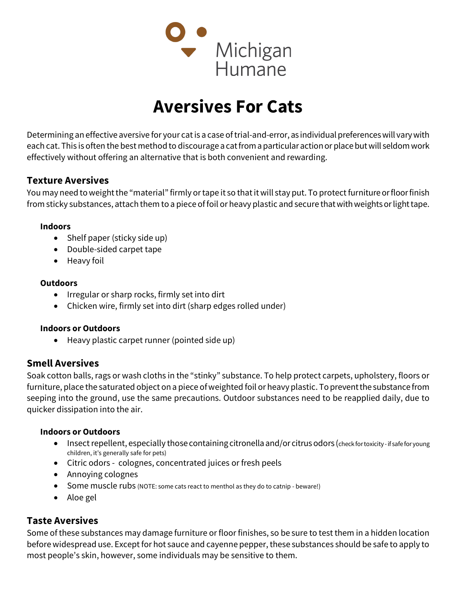

# Aversives For Cats

Determining an effective aversive for your cat is a case of trial-and-error, as individual preferences will vary with each cat. This is often the best method to discourage a cat from a particular action or place but will seldom work effectively without offering an alternative that is both convenient and rewarding.

## Texture Aversives

You may need to weight the "material" firmly or tape it so that it will stay put. To protect furniture or floor finish from sticky substances, attach them to a piece of foil or heavy plastic and secure that with weights or light tape.

#### Indoors

- Shelf paper (sticky side up)
- Double-sided carpet tape
- Heavy foil

#### **Outdoors**

- Irregular or sharp rocks, firmly set into dirt
- Chicken wire, firmly set into dirt (sharp edges rolled under)

#### Indoors or Outdoors

• Heavy plastic carpet runner (pointed side up)

## Smell Aversives

Soak cotton balls, rags or wash cloths in the "stinky" substance. To help protect carpets, upholstery, floors or furniture, place the saturated object on a piece of weighted foil or heavy plastic. To prevent the substance from seeping into the ground, use the same precautions. Outdoor substances need to be reapplied daily, due to quicker dissipation into the air.

#### Indoors or Outdoors

- Insect repellent, especially those containing citronella and/or citrus odors (check for toxicity if safe for young children, it's generally safe for pets)
- Citric odors colognes, concentrated juices or fresh peels
- Annoying colognes
- Some muscle rubs (NOTE: some cats react to menthol as they do to catnip beware!)
- Aloe gel

## Taste Aversives

Some of these substances may damage furniture or floor finishes, so be sure to test them in a hidden location before widespread use. Except for hot sauce and cayenne pepper, these substances should be safe to apply to most people's skin, however, some individuals may be sensitive to them.